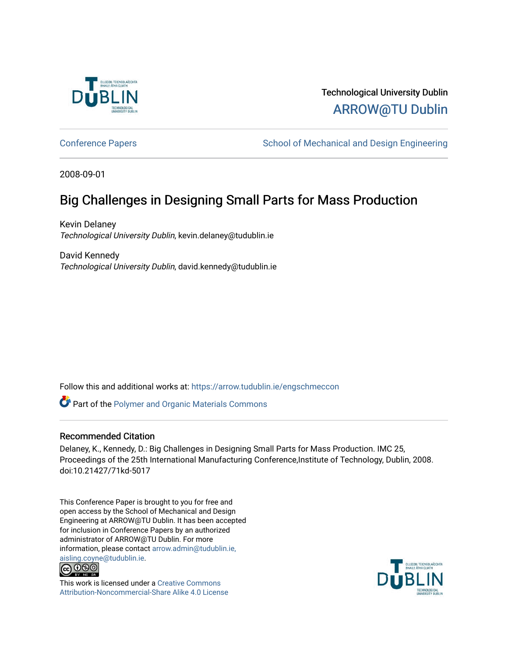

Technological University Dublin [ARROW@TU Dublin](https://arrow.tudublin.ie/) 

[Conference Papers](https://arrow.tudublin.ie/engschmeccon) **School of Mechanical and Design Engineering** School of Mechanical and Design Engineering

2008-09-01

# Big Challenges in Designing Small Parts for Mass Production

Kevin Delaney Technological University Dublin, kevin.delaney@tudublin.ie

David Kennedy Technological University Dublin, david.kennedy@tudublin.ie

Follow this and additional works at: [https://arrow.tudublin.ie/engschmeccon](https://arrow.tudublin.ie/engschmeccon?utm_source=arrow.tudublin.ie%2Fengschmeccon%2F12&utm_medium=PDF&utm_campaign=PDFCoverPages) 

**Part of the [Polymer and Organic Materials Commons](http://network.bepress.com/hgg/discipline/289?utm_source=arrow.tudublin.ie%2Fengschmeccon%2F12&utm_medium=PDF&utm_campaign=PDFCoverPages)** 

#### Recommended Citation

Delaney, K., Kennedy, D.: Big Challenges in Designing Small Parts for Mass Production. IMC 25, Proceedings of the 25th International Manufacturing Conference,Institute of Technology, Dublin, 2008. doi:10.21427/71kd-5017

This Conference Paper is brought to you for free and open access by the School of Mechanical and Design Engineering at ARROW@TU Dublin. It has been accepted for inclusion in Conference Papers by an authorized administrator of ARROW@TU Dublin. For more information, please contact [arrow.admin@tudublin.ie,](mailto:arrow.admin@tudublin.ie,%20aisling.coyne@tudublin.ie)  [aisling.coyne@tudublin.ie.](mailto:arrow.admin@tudublin.ie,%20aisling.coyne@tudublin.ie)<br>© 090



This work is licensed under a [Creative Commons](http://creativecommons.org/licenses/by-nc-sa/4.0/) [Attribution-Noncommercial-Share Alike 4.0 License](http://creativecommons.org/licenses/by-nc-sa/4.0/)

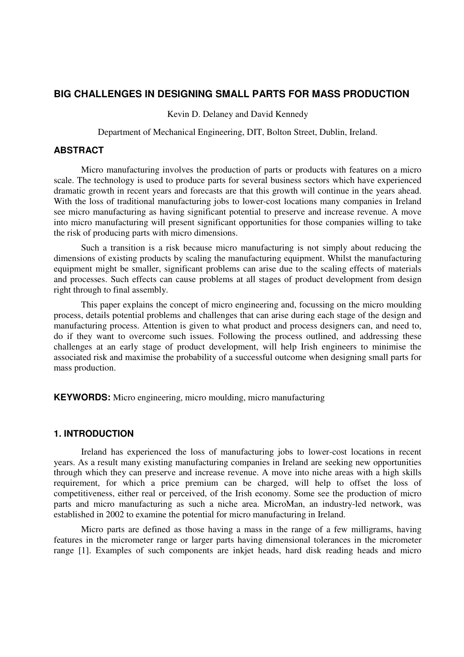# **BIG CHALLENGES IN DESIGNING SMALL PARTS FOR MASS PRODUCTION**

Kevin D. Delaney and David Kennedy

Department of Mechanical Engineering, DIT, Bolton Street, Dublin, Ireland.

# **ABSTRACT**

Micro manufacturing involves the production of parts or products with features on a micro scale. The technology is used to produce parts for several business sectors which have experienced dramatic growth in recent years and forecasts are that this growth will continue in the years ahead. With the loss of traditional manufacturing jobs to lower-cost locations many companies in Ireland see micro manufacturing as having significant potential to preserve and increase revenue. A move into micro manufacturing will present significant opportunities for those companies willing to take the risk of producing parts with micro dimensions.

Such a transition is a risk because micro manufacturing is not simply about reducing the dimensions of existing products by scaling the manufacturing equipment. Whilst the manufacturing equipment might be smaller, significant problems can arise due to the scaling effects of materials and processes. Such effects can cause problems at all stages of product development from design right through to final assembly.

This paper explains the concept of micro engineering and, focussing on the micro moulding process, details potential problems and challenges that can arise during each stage of the design and manufacturing process. Attention is given to what product and process designers can, and need to, do if they want to overcome such issues. Following the process outlined, and addressing these challenges at an early stage of product development, will help Irish engineers to minimise the associated risk and maximise the probability of a successful outcome when designing small parts for mass production.

**KEYWORDS:** Micro engineering, micro moulding, micro manufacturing

# **1. INTRODUCTION**

Ireland has experienced the loss of manufacturing jobs to lower-cost locations in recent years. As a result many existing manufacturing companies in Ireland are seeking new opportunities through which they can preserve and increase revenue. A move into niche areas with a high skills requirement, for which a price premium can be charged, will help to offset the loss of competitiveness, either real or perceived, of the Irish economy. Some see the production of micro parts and micro manufacturing as such a niche area. MicroMan, an industry-led network, was established in 2002 to examine the potential for micro manufacturing in Ireland.

Micro parts are defined as those having a mass in the range of a few milligrams, having features in the micrometer range or larger parts having dimensional tolerances in the micrometer range [1]. Examples of such components are inkjet heads, hard disk reading heads and micro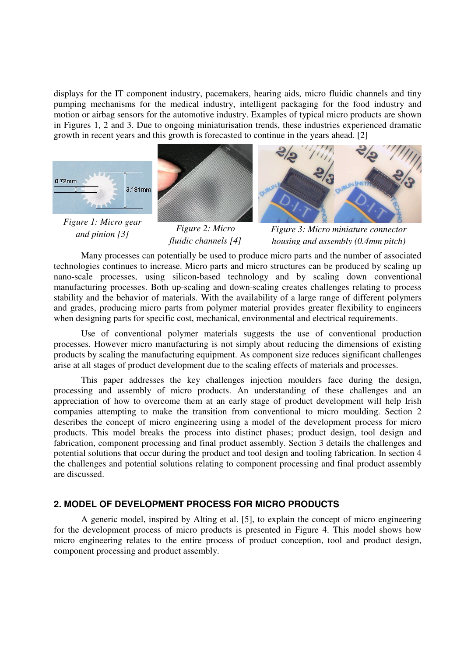displays for the IT component industry, pacemakers, hearing aids, micro fluidic channels and tiny pumping mechanisms for the medical industry, intelligent packaging for the food industry and motion or airbag sensors for the automotive industry. Examples of typical micro products are shown in Figures 1, 2 and 3. Due to ongoing miniaturisation trends, these industries experienced dramatic growth in recent years and this growth is forecasted to continue in the years ahead. [2]



*Figure 1: Micro gear and pinion [3]*



*Figure 2: Micro fluidic channels [4]*



*Figure 3: Micro miniature connector housing and assembly (0.4mm pitch)*

Many processes can potentially be used to produce micro parts and the number of associated technologies continues to increase. Micro parts and micro structures can be produced by scaling up nano-scale processes, using silicon-based technology and by scaling down conventional manufacturing processes. Both up-scaling and down-scaling creates challenges relating to process stability and the behavior of materials. With the availability of a large range of different polymers and grades, producing micro parts from polymer material provides greater flexibility to engineers when designing parts for specific cost, mechanical, environmental and electrical requirements.

Use of conventional polymer materials suggests the use of conventional production processes. However micro manufacturing is not simply about reducing the dimensions of existing products by scaling the manufacturing equipment. As component size reduces significant challenges arise at all stages of product development due to the scaling effects of materials and processes.

This paper addresses the key challenges injection moulders face during the design, processing and assembly of micro products. An understanding of these challenges and an appreciation of how to overcome them at an early stage of product development will help Irish companies attempting to make the transition from conventional to micro moulding. Section 2 describes the concept of micro engineering using a model of the development process for micro products. This model breaks the process into distinct phases; product design, tool design and fabrication, component processing and final product assembly. Section 3 details the challenges and potential solutions that occur during the product and tool design and tooling fabrication. In section 4 the challenges and potential solutions relating to component processing and final product assembly are discussed.

# **2. MODEL OF DEVELOPMENT PROCESS FOR MICRO PRODUCTS**

A generic model, inspired by Alting et al. [5], to explain the concept of micro engineering for the development process of micro products is presented in Figure 4. This model shows how micro engineering relates to the entire process of product conception, tool and product design, component processing and product assembly.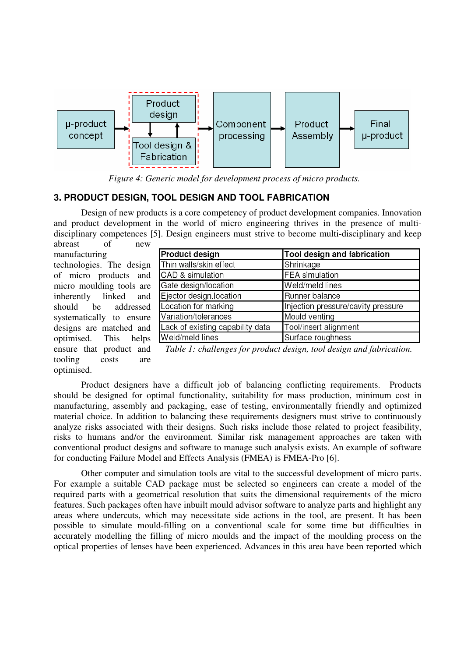

*Figure 4: Generic model for development process of micro products.*

# **3. PRODUCT DESIGN, TOOL DESIGN AND TOOL FABRICATION**

Design of new products is a core competency of product development companies. Innovation and product development in the world of micro engineering thrives in the presence of multidisciplinary competences [5]. Design engineers must strive to become multi-disciplinary and keep abreast of new

manufacturing technologies. The design of micro products and micro moulding tools are inherently linked and should be addressed systematically to ensure designs are matched and optimised. This helps ensure that product and tooling costs are optimised.

| <b>Product design</b>            | Tool design and fabrication        |
|----------------------------------|------------------------------------|
| Thin walls/skin effect           | Shrinkage                          |
| CAD & simulation                 | <b>FEA</b> simulation              |
| Gate design/location             | Weld/meld lines                    |
| Ejector design.location          | Runner balance                     |
| Location for marking             | Injection pressure/cavity pressure |
| Variation/tolerances             | Mould venting                      |
| Lack of existing capability data | Tool/insert alignment              |
| Weld/meld lines                  | Surface roughness                  |

*Table 1: challenges for product design, tool design and fabrication.*

Product designers have a difficult job of balancing conflicting requirements. Products should be designed for optimal functionality, suitability for mass production, minimum cost in manufacturing, assembly and packaging, ease of testing, environmentally friendly and optimized material choice. In addition to balancing these requirements designers must strive to continuously analyze risks associated with their designs. Such risks include those related to project feasibility, risks to humans and/or the environment. Similar risk management approaches are taken with conventional product designs and software to manage such analysis exists. An example of software for conducting Failure Model and Effects Analysis (FMEA) is FMEA-Pro [6].

Other computer and simulation tools are vital to the successful development of micro parts. For example a suitable CAD package must be selected so engineers can create a model of the required parts with a geometrical resolution that suits the dimensional requirements of the micro features. Such packages often have inbuilt mould advisor software to analyze parts and highlight any areas where undercuts, which may necessitate side actions in the tool, are present. It has been possible to simulate mould-filling on a conventional scale for some time but difficulties in accurately modelling the filling of micro moulds and the impact of the moulding process on the optical properties of lenses have been experienced. Advances in this area have been reported which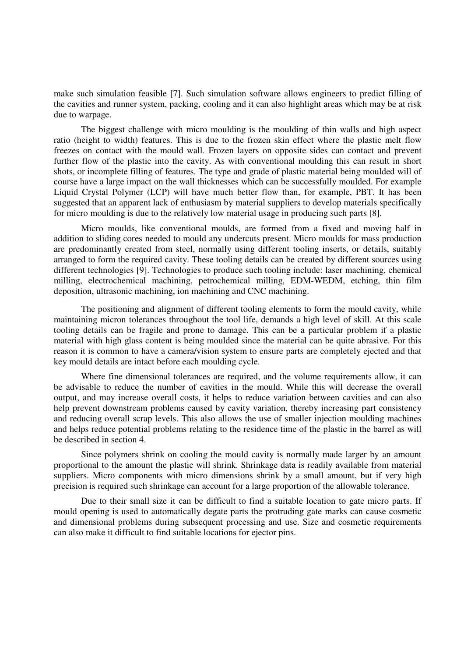make such simulation feasible [7]. Such simulation software allows engineers to predict filling of the cavities and runner system, packing, cooling and it can also highlight areas which may be at risk due to warpage.

The biggest challenge with micro moulding is the moulding of thin walls and high aspect ratio (height to width) features. This is due to the frozen skin effect where the plastic melt flow freezes on contact with the mould wall. Frozen layers on opposite sides can contact and prevent further flow of the plastic into the cavity. As with conventional moulding this can result in short shots, or incomplete filling of features. The type and grade of plastic material being moulded will of course have a large impact on the wall thicknesses which can be successfully moulded. For example Liquid Crystal Polymer (LCP) will have much better flow than, for example, PBT. It has been suggested that an apparent lack of enthusiasm by material suppliers to develop materials specifically for micro moulding is due to the relatively low material usage in producing such parts [8].

Micro moulds, like conventional moulds, are formed from a fixed and moving half in addition to sliding cores needed to mould any undercuts present. Micro moulds for mass production are predominantly created from steel, normally using different tooling inserts, or details, suitably arranged to form the required cavity. These tooling details can be created by different sources using different technologies [9]. Technologies to produce such tooling include: laser machining, chemical milling, electrochemical machining, petrochemical milling, EDM-WEDM, etching, thin film deposition, ultrasonic machining, ion machining and CNC machining.

The positioning and alignment of different tooling elements to form the mould cavity, while maintaining micron tolerances throughout the tool life, demands a high level of skill. At this scale tooling details can be fragile and prone to damage. This can be a particular problem if a plastic material with high glass content is being moulded since the material can be quite abrasive. For this reason it is common to have a camera/vision system to ensure parts are completely ejected and that key mould details are intact before each moulding cycle.

Where fine dimensional tolerances are required, and the volume requirements allow, it can be advisable to reduce the number of cavities in the mould. While this will decrease the overall output, and may increase overall costs, it helps to reduce variation between cavities and can also help prevent downstream problems caused by cavity variation, thereby increasing part consistency and reducing overall scrap levels. This also allows the use of smaller injection moulding machines and helps reduce potential problems relating to the residence time of the plastic in the barrel as will be described in section 4.

Since polymers shrink on cooling the mould cavity is normally made larger by an amount proportional to the amount the plastic will shrink. Shrinkage data is readily available from material suppliers. Micro components with micro dimensions shrink by a small amount, but if very high precision is required such shrinkage can account for a large proportion of the allowable tolerance.

Due to their small size it can be difficult to find a suitable location to gate micro parts. If mould opening is used to automatically degate parts the protruding gate marks can cause cosmetic and dimensional problems during subsequent processing and use. Size and cosmetic requirements can also make it difficult to find suitable locations for ejector pins.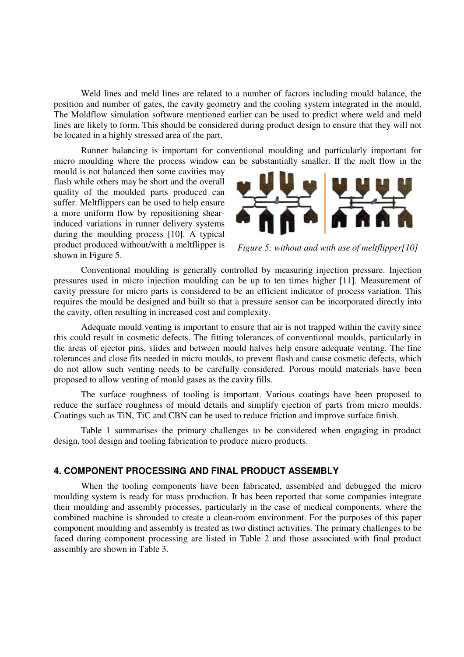Weld lines and meld lines are related to a number of factors including mould balance, the position and number of gates, the cavity geometry and the cooling system integrated in the mould. The Moldflow simulation software mentioned earlier can be used to predict where weld and meld lines are likely to form. This should be considered during product design to ensure that they will not be located in a highly stressed area of the part.

Runner balancing is important for conventional moulding and particularly important for micro moulding where the process window can be substantially smaller. If the melt flow in the

mould is not balanced then some cavities may flash while others may be short and the overall quality of the moulded parts produced can suffer. Meltflippers can be used to help ensure a more uniform flow by repositioning shearinduced variations in runner delivery systems during the moulding process [10]. A typical product produced without/with a meltflipper is shown in Figure 5.



*Figure 5: without and with use of meltflipper[10]*

Conventional moulding is generally controlled by measuring injection pressure. Injection pressures used in micro injection moulding can be up to ten times higher [11]. Measurement of cavity pressure for micro parts is considered to be an efficient indicator of process variation. This requires the mould be designed and built so that a pressure sensor can be incorporated directly into the cavity, often resulting in increased cost and complexity.

Adequate mould venting is important to ensure that air is not trapped within the cavity since this could result in cosmetic defects. The fitting tolerances of conventional moulds, particularly in the areas of ejector pins, slides and between mould halves help ensure adequate venting. The fine tolerances and close fits needed in micro moulds, to prevent flash and cause cosmetic defects, which do not allow such venting needs to be carefully considered. Porous mould materials have been proposed to allow venting of mould gases as the cavity fills.

The surface roughness of tooling is important. Various coatings have been proposed to reduce the surface roughness of mould details and simplify ejection of parts from micro moulds. Coatings such as TiN, TiC and CBN can be used to reduce friction and improve surface finish.

Table 1 summarises the primary challenges to be considered when engaging in product design, tool design and tooling fabrication to produce micro products.

# **4. COMPONENT PROCESSING AND FINAL PRODUCT ASSEMBLY**

When the tooling components have been fabricated, assembled and debugged the micro moulding system is ready for mass production. It has been reported that some companies integrate their moulding and assembly processes, particularly in the case of medical components, where the combined machine is shrouded to create a clean-room environment. For the purposes of this paper component moulding and assembly is treated as two distinct activities. The primary challenges to be faced during component processing are listed in Table 2 and those associated with final product assembly are shown in Table 3.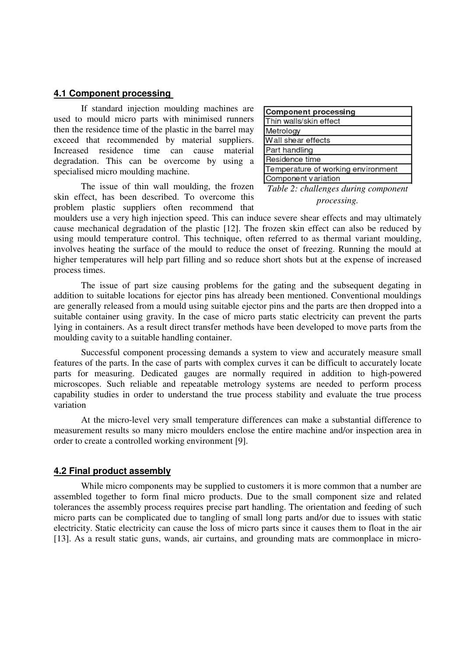### **4.1 Component processing**

If standard injection moulding machines are used to mould micro parts with minimised runners then the residence time of the plastic in the barrel may exceed that recommended by material suppliers. Increased residence time can cause material degradation. This can be overcome by using a specialised micro moulding machine.

The issue of thin wall moulding, the frozen skin effect, has been described. To overcome this problem plastic suppliers often recommend that

| Component processing               |
|------------------------------------|
| Thin walls/skin effect             |
| Metrology                          |
| Wall shear effects                 |
| Part handling                      |
| Residence time                     |
| Temperature of working environment |
| Component variation                |
|                                    |

*Table 2: challenges during component processing.*

moulders use a very high injection speed. This can induce severe shear effects and may ultimately cause mechanical degradation of the plastic [12]. The frozen skin effect can also be reduced by using mould temperature control. This technique, often referred to as thermal variant moulding, involves heating the surface of the mould to reduce the onset of freezing. Running the mould at higher temperatures will help part filling and so reduce short shots but at the expense of increased process times.

The issue of part size causing problems for the gating and the subsequent degating in addition to suitable locations for ejector pins has already been mentioned. Conventional mouldings are generally released from a mould using suitable ejector pins and the parts are then dropped into a suitable container using gravity. In the case of micro parts static electricity can prevent the parts lying in containers. As a result direct transfer methods have been developed to move parts from the moulding cavity to a suitable handling container.

Successful component processing demands a system to view and accurately measure small features of the parts. In the case of parts with complex curves it can be difficult to accurately locate parts for measuring. Dedicated gauges are normally required in addition to high-powered microscopes. Such reliable and repeatable metrology systems are needed to perform process capability studies in order to understand the true process stability and evaluate the true process variation

At the micro-level very small temperature differences can make a substantial difference to measurement results so many micro moulders enclose the entire machine and/or inspection area in order to create a controlled working environment [9].

#### **4.2 Final product assembly**

While micro components may be supplied to customers it is more common that a number are assembled together to form final micro products. Due to the small component size and related tolerances the assembly process requires precise part handling. The orientation and feeding of such micro parts can be complicated due to tangling of small long parts and/or due to issues with static electricity. Static electricity can cause the loss of micro parts since it causes them to float in the air [13]. As a result static guns, wands, air curtains, and grounding mats are commonplace in micro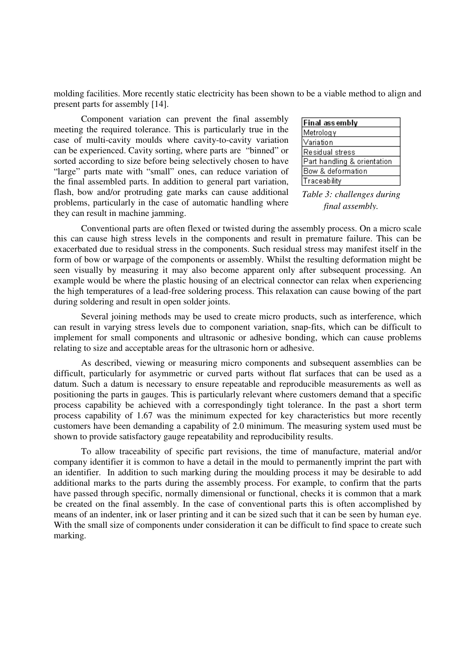molding facilities. More recently static electricity has been shown to be a viable method to align and present parts for assembly [14].

Component variation can prevent the final assembly meeting the required tolerance. This is particularly true in the case of multi-cavity moulds where cavity-to-cavity variation can be experienced. Cavity sorting, where parts are "binned" or sorted according to size before being selectively chosen to have "large" parts mate with "small" ones, can reduce variation of the final assembled parts. In addition to general part variation, flash, bow and/or protruding gate marks can cause additional problems, particularly in the case of automatic handling where they can result in machine jamming.

| <b>Final assembly</b>       |
|-----------------------------|
| Metrology                   |
| Variation                   |
| Residual stress             |
| Part handling & orientation |
| Bow & deformation           |
| Traceability                |

*Table 3: challenges during final assembly.*

Conventional parts are often flexed or twisted during the assembly process. On a micro scale this can cause high stress levels in the components and result in premature failure. This can be exacerbated due to residual stress in the components. Such residual stress may manifest itself in the form of bow or warpage of the components or assembly. Whilst the resulting deformation might be seen visually by measuring it may also become apparent only after subsequent processing. An example would be where the plastic housing of an electrical connector can relax when experiencing the high temperatures of a lead-free soldering process. This relaxation can cause bowing of the part during soldering and result in open solder joints.

Several joining methods may be used to create micro products, such as interference, which can result in varying stress levels due to component variation, snap-fits, which can be difficult to implement for small components and ultrasonic or adhesive bonding, which can cause problems relating to size and acceptable areas for the ultrasonic horn or adhesive.

As described, viewing or measuring micro components and subsequent assemblies can be difficult, particularly for asymmetric or curved parts without flat surfaces that can be used as a datum. Such a datum is necessary to ensure repeatable and reproducible measurements as well as positioning the parts in gauges. This is particularly relevant where customers demand that a specific process capability be achieved with a correspondingly tight tolerance. In the past a short term process capability of 1.67 was the minimum expected for key characteristics but more recently customers have been demanding a capability of 2.0 minimum. The measuring system used must be shown to provide satisfactory gauge repeatability and reproducibility results.

To allow traceability of specific part revisions, the time of manufacture, material and/or company identifier it is common to have a detail in the mould to permanently imprint the part with an identifier. In addition to such marking during the moulding process it may be desirable to add additional marks to the parts during the assembly process. For example, to confirm that the parts have passed through specific, normally dimensional or functional, checks it is common that a mark be created on the final assembly. In the case of conventional parts this is often accomplished by means of an indenter, ink or laser printing and it can be sized such that it can be seen by human eye. With the small size of components under consideration it can be difficult to find space to create such marking.